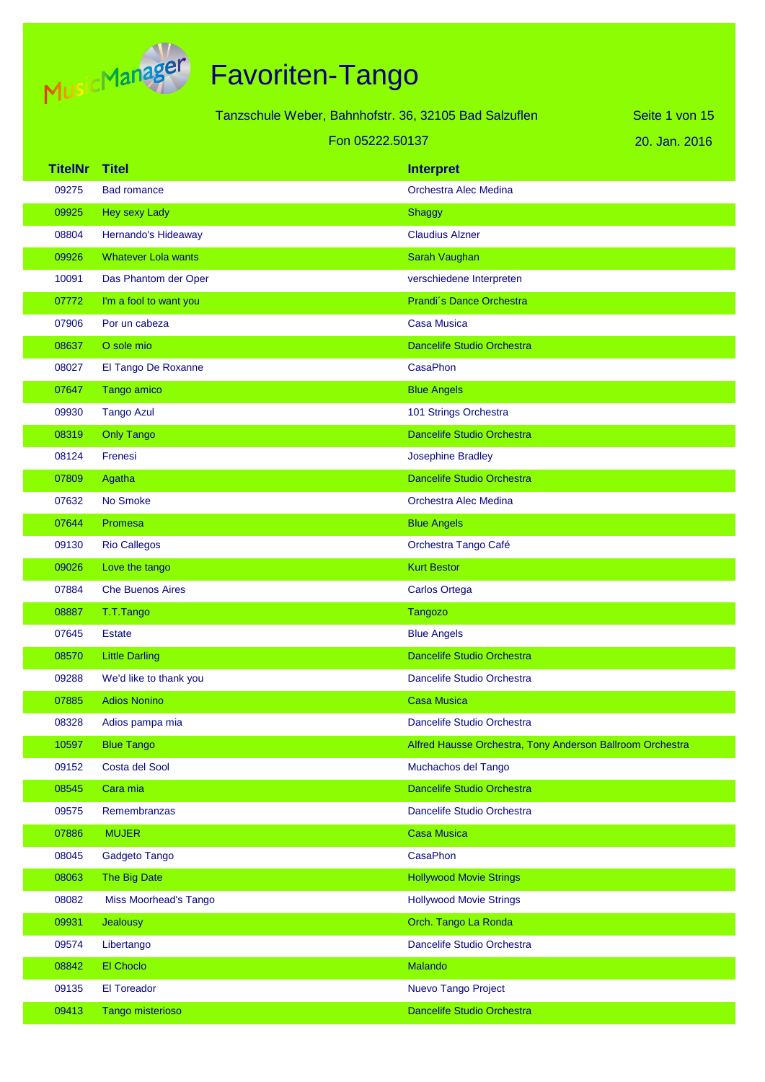

Tanzschule Weber, Bahnhofstr. 36, 32105 Bad Salzuflen Fon 05222.50137

20. Jan. 2016 Seite 1 von 15

#### **TitelNr Titel Interpret** 09275 Bad romance **Dramatic Except Control Control Control Control Control Control Control Control Control Control Control Control Control Control Control Control Control Control Control Control Control Control Control Con** 09925 Hey sexy Lady Shaggy Shaggy Shaggy Shaggy Shaggy Shaggy Shaggy Shaggy Shaggy 08804 Hernando's Hideaway Claudius Alzner 09926 Whatever Lola wants Sarah Vaughan Naughan Sarah Vaughan 10091 Das Phantom der Oper verschiedene Interpreten 07772 I'm a fool to want you **Prandi**<sup>s</sup> Dance Orchestra **Prandi**<sup>s</sup> Dance Orchestra 07906 Por un cabeza Casa Musica 08637 O sole mio Dancelife Studio Orchestra 08027 El Tango De Roxanne CasaPhon 07647 Tango amico Blue Angels and Blue Angels and Blue Angels and Blue Angels 09930 Tango Azul 101 Strings Orchestra 08319 Only Tango Dancelife Studio Orchestra 08124 Frenesi Josephine Bradley 07809 Agatha Dancelife Studio Orchestra Dancelife Studio Orchestra 07632 No Smoke **Contract Alec Medina** Orchestra Alec Medina 07644 Promesa Blue Angels 09130 Rio Callegos Orchestra Tango Café 09026 Love the tango Kurt Bestor Control of the Control of the Control of the Control of the Control of the Control of the Control of the Control of the Control of the Control of the Control of the Control of the Control o 07884 Che Buenos Aires **Carlos Ortega** 08887 T.T.Tango Tangozo Tangozo Tangozo Tangozo Tangozo Tangozo Tangozo Tangozo 07645 Estate Blue Angels 08570 Little Darling Communication of the Dancelife Studio Orchestra 09288 We'd like to thank you Dancelife Studio Orchestra Companies All Dancelife Studio Orchestra 07885 Adios Nonino Casa Musica 08328 Adios pampa mia di controllo della controlla di Dancelife Studio Orchestra 10597 Blue Tango Alfred Hausse Orchestra, Tony Anderson Ballroom Orchestra 09152 Costa del Sool anno 1992 anno 1992 a Costa del Tango Del Muchachos del Tango 08545 Cara mia Dancelife Studio Orchestra 09575 Remembranzas Dancelife Studio Orchestra 07886 MUJER Casa Musica Musica Musica Musica Musica Musica Musica Musica Musica 08045 Gadgeto Tango CasaPhon 08063 The Big Date Hollywood Movie Strings 08082 Miss Moorhead's Tango **Movie Strings** Movie Strings 09931 Jealousy Orch. Tango La Ronda 09574 Libertango Dancelife Studio Orchestra Change Dancelife Studio Orchestra 08842 El Choclo Malando 09135 El Toreador Nuevo Tango Project 09413 Tango misterioso Dancelife Studio Orchestra Dancelife Studio Orchestra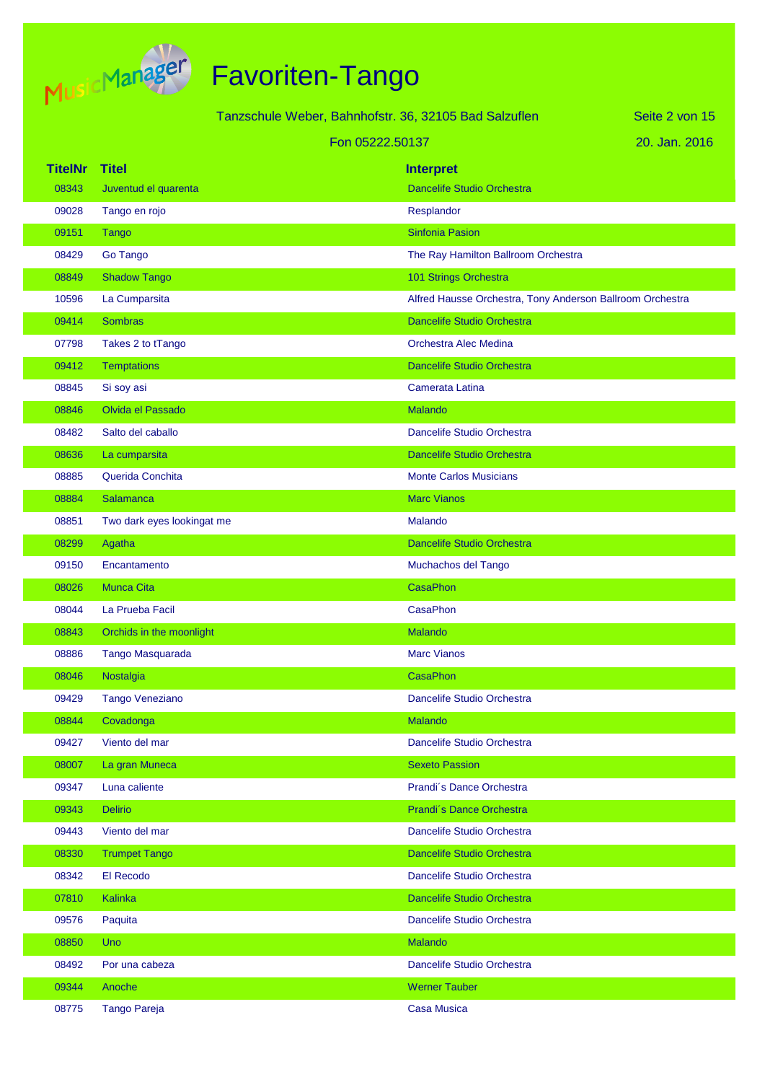

|                |                            | Tanzschule Weber, Bahnhofstr. 36, 32105 Bad Salzuflen |                                                           | Seite 2 von 15 |
|----------------|----------------------------|-------------------------------------------------------|-----------------------------------------------------------|----------------|
|                |                            | Fon 05222.50137                                       |                                                           | 20. Jan. 2016  |
| <b>TitelNr</b> | <b>Titel</b>               |                                                       | <b>Interpret</b>                                          |                |
| 08343          | Juventud el quarenta       |                                                       | <b>Dancelife Studio Orchestra</b>                         |                |
| 09028          | Tango en rojo              |                                                       | Resplandor                                                |                |
| 09151          | <b>Tango</b>               |                                                       | <b>Sinfonia Pasion</b>                                    |                |
| 08429          | Go Tango                   |                                                       | The Ray Hamilton Ballroom Orchestra                       |                |
| 08849          | <b>Shadow Tango</b>        |                                                       | 101 Strings Orchestra                                     |                |
| 10596          | La Cumparsita              |                                                       | Alfred Hausse Orchestra, Tony Anderson Ballroom Orchestra |                |
| 09414          | <b>Sombras</b>             |                                                       | <b>Dancelife Studio Orchestra</b>                         |                |
| 07798          | Takes 2 to tTango          |                                                       | Orchestra Alec Medina                                     |                |
| 09412          | <b>Temptations</b>         |                                                       | <b>Dancelife Studio Orchestra</b>                         |                |
| 08845          | Si soy asi                 |                                                       | Camerata Latina                                           |                |
| 08846          | Olvida el Passado          |                                                       | Malando                                                   |                |
| 08482          | Salto del caballo          |                                                       | Dancelife Studio Orchestra                                |                |
| 08636          | La cumparsita              |                                                       | <b>Dancelife Studio Orchestra</b>                         |                |
| 08885          | Querida Conchita           |                                                       | <b>Monte Carlos Musicians</b>                             |                |
| 08884          | <b>Salamanca</b>           |                                                       | <b>Marc Vianos</b>                                        |                |
| 08851          | Two dark eyes lookingat me |                                                       | Malando                                                   |                |
| 08299          | Agatha                     |                                                       | Dancelife Studio Orchestra                                |                |
| 09150          | Encantamento               |                                                       | Muchachos del Tango                                       |                |
| 08026          | <b>Munca Cita</b>          |                                                       | <b>CasaPhon</b>                                           |                |
| 08044          | La Prueba Facil            |                                                       | CasaPhon                                                  |                |
| 08843          | Orchids in the moonlight   |                                                       | Malando                                                   |                |
| 08886          | Tango Masquarada           |                                                       | <b>Marc Vianos</b>                                        |                |
| 08046          | Nostalgia                  |                                                       | CasaPhon                                                  |                |
| 09429          | <b>Tango Veneziano</b>     |                                                       | Dancelife Studio Orchestra                                |                |
| 08844          | Covadonga                  |                                                       | <b>Malando</b>                                            |                |
| 09427          | Viento del mar             |                                                       | Dancelife Studio Orchestra                                |                |
| 08007          | La gran Muneca             |                                                       | <b>Sexeto Passion</b>                                     |                |
| 09347          | Luna caliente              |                                                       | Prandi's Dance Orchestra                                  |                |
| 09343          | <b>Delirio</b>             |                                                       | Prandi's Dance Orchestra                                  |                |
| 09443          | Viento del mar             |                                                       | Dancelife Studio Orchestra                                |                |
| 08330          | <b>Trumpet Tango</b>       |                                                       | Dancelife Studio Orchestra                                |                |
| 08342          | El Recodo                  |                                                       | Dancelife Studio Orchestra                                |                |
| 07810          | Kalinka                    |                                                       | Dancelife Studio Orchestra                                |                |
| 09576          | Paquita                    |                                                       | Dancelife Studio Orchestra                                |                |
| 08850          | <b>Uno</b>                 |                                                       | <b>Malando</b>                                            |                |
| 08492          | Por una cabeza             |                                                       | Dancelife Studio Orchestra                                |                |
| 09344          | Anoche                     |                                                       | <b>Werner Tauber</b>                                      |                |
| 08775          | <b>Tango Pareja</b>        |                                                       | <b>Casa Musica</b>                                        |                |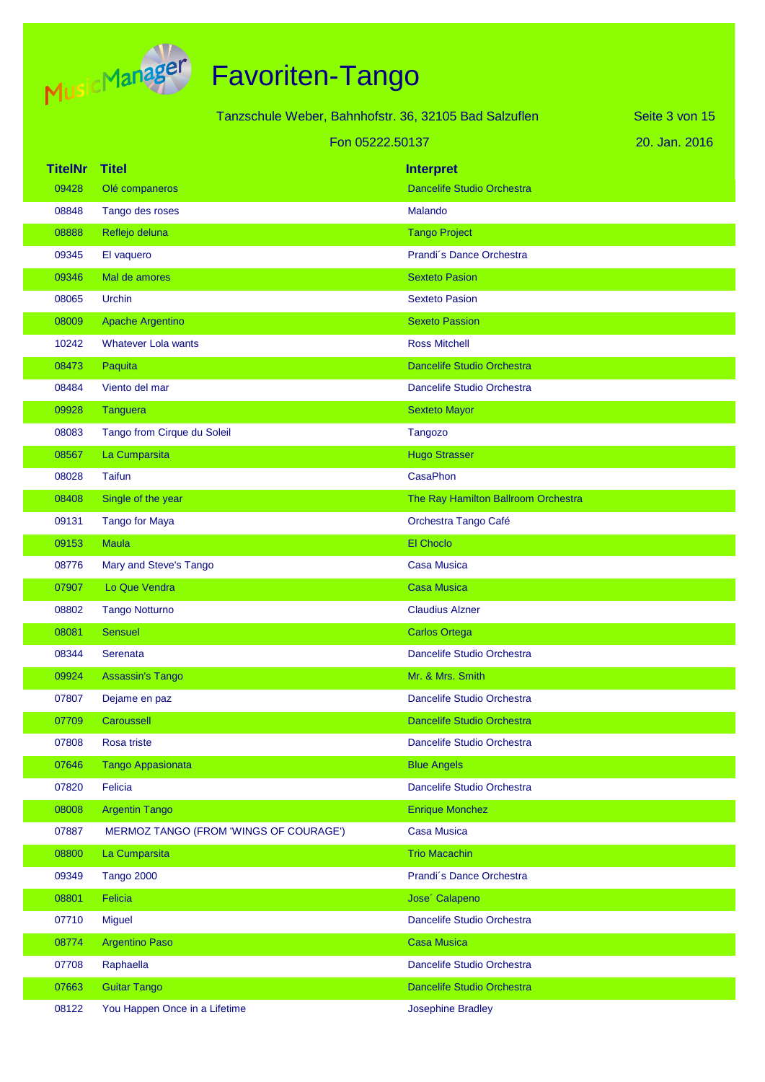

|                | Tanzschule Weber, Bahnhofstr. 36, 32105 Bad Salzuflen |                                     | Seite 3 von 15 |
|----------------|-------------------------------------------------------|-------------------------------------|----------------|
|                |                                                       | Fon 05222.50137                     | 20. Jan. 2016  |
| <b>TitelNr</b> | <b>Titel</b>                                          | <b>Interpret</b>                    |                |
| 09428          | Olé companeros                                        | <b>Dancelife Studio Orchestra</b>   |                |
| 08848          | Tango des roses                                       | <b>Malando</b>                      |                |
| 08888          | Reflejo deluna                                        | <b>Tango Project</b>                |                |
| 09345          | El vaquero                                            | Prandi's Dance Orchestra            |                |
| 09346          | Mal de amores                                         | <b>Sexteto Pasion</b>               |                |
| 08065          | Urchin                                                | <b>Sexteto Pasion</b>               |                |
| 08009          | Apache Argentino                                      | <b>Sexeto Passion</b>               |                |
| 10242          | <b>Whatever Lola wants</b>                            | <b>Ross Mitchell</b>                |                |
| 08473          | Paquita                                               | <b>Dancelife Studio Orchestra</b>   |                |
| 08484          | Viento del mar                                        | Dancelife Studio Orchestra          |                |
| 09928          | <b>Tanguera</b>                                       | <b>Sexteto Mayor</b>                |                |
| 08083          | Tango from Cirque du Soleil                           | <b>Tangozo</b>                      |                |
| 08567          | La Cumparsita                                         | <b>Hugo Strasser</b>                |                |
| 08028          | <b>Taifun</b>                                         | <b>CasaPhon</b>                     |                |
| 08408          | Single of the year                                    | The Ray Hamilton Ballroom Orchestra |                |
| 09131          | <b>Tango for Maya</b>                                 | Orchestra Tango Café                |                |
| 09153          | <b>Maula</b>                                          | El Choclo                           |                |
| 08776          | Mary and Steve's Tango                                | <b>Casa Musica</b>                  |                |
| 07907          | Lo Que Vendra                                         | <b>Casa Musica</b>                  |                |
| 08802          | <b>Tango Notturno</b>                                 | <b>Claudius Alzner</b>              |                |
| 08081          | <b>Sensuel</b>                                        | <b>Carlos Ortega</b>                |                |
| 08344          | Serenata                                              | Dancelife Studio Orchestra          |                |
| 09924          | <b>Assassin's Tango</b>                               | Mr. & Mrs. Smith                    |                |
| 07807          | Dejame en paz                                         | Dancelife Studio Orchestra          |                |
| 07709          | Caroussell                                            | Dancelife Studio Orchestra          |                |
| 07808          | Rosa triste                                           | Dancelife Studio Orchestra          |                |
| 07646          | Tango Appasionata                                     | <b>Blue Angels</b>                  |                |
| 07820          | Felicia                                               | Dancelife Studio Orchestra          |                |
| 08008          | <b>Argentin Tango</b>                                 | <b>Enrique Monchez</b>              |                |
| 07887          | MERMOZ TANGO (FROM 'WINGS OF COURAGE')                | <b>Casa Musica</b>                  |                |
| 08800          | La Cumparsita                                         | <b>Trio Macachin</b>                |                |
| 09349          | <b>Tango 2000</b>                                     | Prandi's Dance Orchestra            |                |
| 08801          | <b>Felicia</b>                                        | Jose' Calapeno                      |                |
| 07710          | <b>Miguel</b>                                         | Dancelife Studio Orchestra          |                |
| 08774          | <b>Argentino Paso</b>                                 | <b>Casa Musica</b>                  |                |
| 07708          | Raphaella                                             | Dancelife Studio Orchestra          |                |
| 07663          | <b>Guitar Tango</b>                                   | Dancelife Studio Orchestra          |                |
| 08122          | You Happen Once in a Lifetime                         | <b>Josephine Bradley</b>            |                |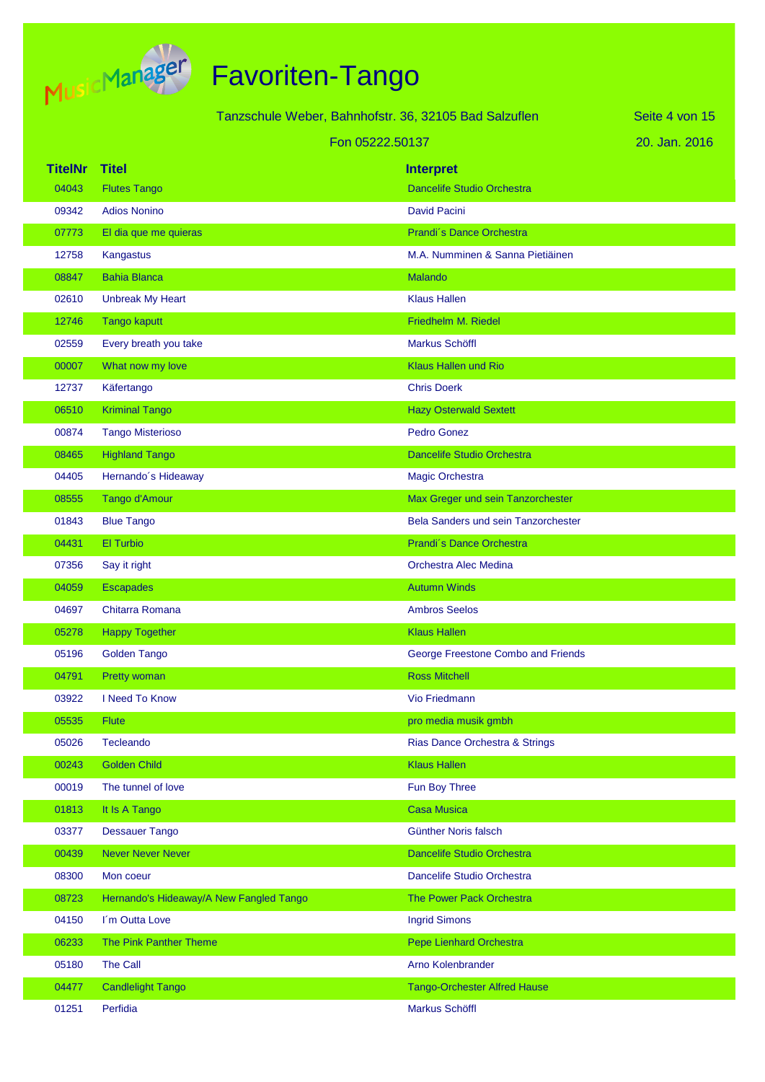

|                |                                         | Tanzschule Weber, Bahnhofstr. 36, 32105 Bad Salzuflen |                                     | Seite 4 von 15 |
|----------------|-----------------------------------------|-------------------------------------------------------|-------------------------------------|----------------|
|                |                                         | Fon 05222.50137                                       |                                     | 20. Jan. 2016  |
| <b>TitelNr</b> | <b>Titel</b>                            |                                                       | <b>Interpret</b>                    |                |
| 04043          | <b>Flutes Tango</b>                     |                                                       | Dancelife Studio Orchestra          |                |
| 09342          | <b>Adios Nonino</b>                     |                                                       | David Pacini                        |                |
| 07773          | El dia que me quieras                   |                                                       | Prandi's Dance Orchestra            |                |
| 12758          | Kangastus                               |                                                       | M.A. Numminen & Sanna Pietiäinen    |                |
| 08847          | <b>Bahia Blanca</b>                     |                                                       | Malando                             |                |
| 02610          | <b>Unbreak My Heart</b>                 |                                                       | <b>Klaus Hallen</b>                 |                |
| 12746          | <b>Tango kaputt</b>                     |                                                       | Friedhelm M. Riedel                 |                |
| 02559          | Every breath you take                   |                                                       | <b>Markus Schöffl</b>               |                |
| 00007          | What now my love                        |                                                       | Klaus Hallen und Rio                |                |
| 12737          | Käfertango                              |                                                       | <b>Chris Doerk</b>                  |                |
| 06510          | <b>Kriminal Tango</b>                   |                                                       | <b>Hazy Osterwald Sextett</b>       |                |
| 00874          | <b>Tango Misterioso</b>                 |                                                       | <b>Pedro Gonez</b>                  |                |
| 08465          | <b>Highland Tango</b>                   |                                                       | <b>Dancelife Studio Orchestra</b>   |                |
| 04405          | Hernando's Hideaway                     |                                                       | Magic Orchestra                     |                |
| 08555          | Tango d'Amour                           |                                                       | Max Greger und sein Tanzorchester   |                |
| 01843          | <b>Blue Tango</b>                       |                                                       | Bela Sanders und sein Tanzorchester |                |
| 04431          | El Turbio                               |                                                       | Prandi's Dance Orchestra            |                |
| 07356          | Say it right                            |                                                       | Orchestra Alec Medina               |                |
| 04059          | <b>Escapades</b>                        |                                                       | <b>Autumn Winds</b>                 |                |
| 04697          | Chitarra Romana                         |                                                       | <b>Ambros Seelos</b>                |                |
| 05278          | <b>Happy Together</b>                   |                                                       | <b>Klaus Hallen</b>                 |                |
| 05196          | <b>Golden Tango</b>                     |                                                       | George Freestone Combo and Friends  |                |
| 04791          | Pretty woman                            |                                                       | <b>Ross Mitchell</b>                |                |
| 03922          | I Need To Know                          |                                                       | Vio Friedmann                       |                |
| 05535          | <b>Flute</b>                            |                                                       | pro media musik gmbh                |                |
| 05026          | Tecleando                               |                                                       | Rias Dance Orchestra & Strings      |                |
| 00243          | <b>Golden Child</b>                     |                                                       | <b>Klaus Hallen</b>                 |                |
| 00019          | The tunnel of love                      |                                                       | Fun Boy Three                       |                |
| 01813          | It Is A Tango                           |                                                       | <b>Casa Musica</b>                  |                |
| 03377          | <b>Dessauer Tango</b>                   |                                                       | Günther Noris falsch                |                |
| 00439          | <b>Never Never Never</b>                |                                                       | Dancelife Studio Orchestra          |                |
| 08300          | Mon coeur                               |                                                       | Dancelife Studio Orchestra          |                |
| 08723          | Hernando's Hideaway/A New Fangled Tango |                                                       | The Power Pack Orchestra            |                |
| 04150          | I'm Outta Love                          |                                                       | <b>Ingrid Simons</b>                |                |
| 06233          | The Pink Panther Theme                  |                                                       | <b>Pepe Lienhard Orchestra</b>      |                |
| 05180          | The Call                                |                                                       | Arno Kolenbrander                   |                |
| 04477          | <b>Candlelight Tango</b>                |                                                       | <b>Tango-Orchester Alfred Hause</b> |                |
| 01251          | Perfidia                                |                                                       | Markus Schöffl                      |                |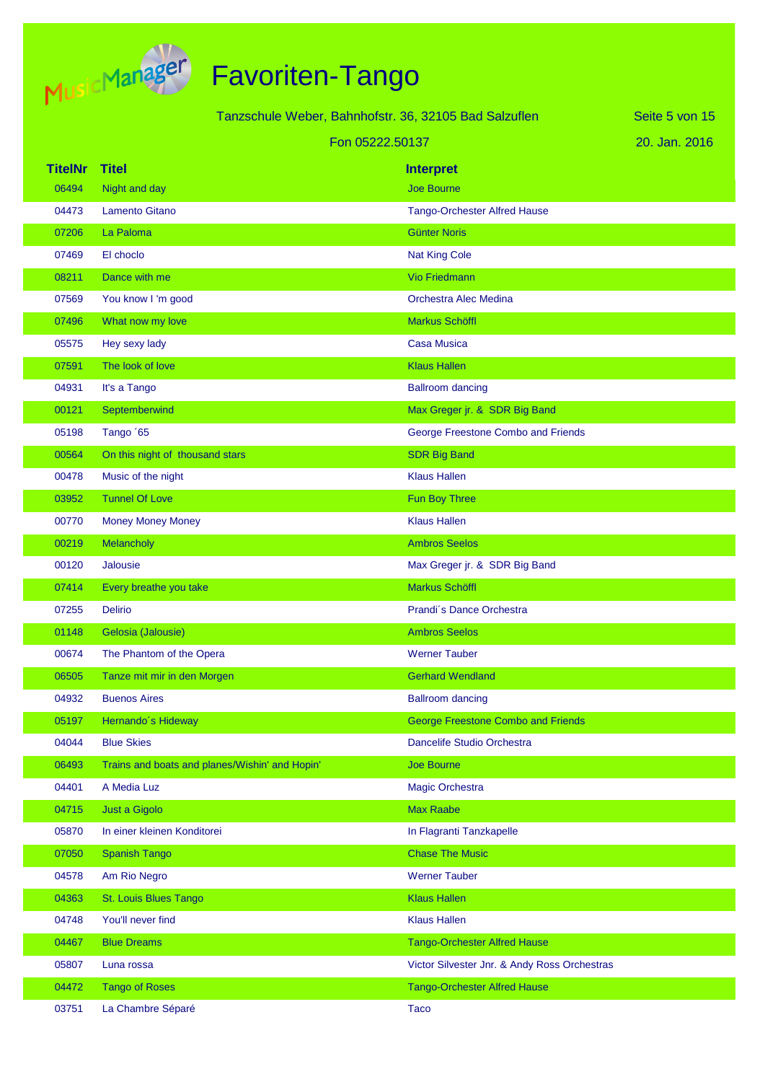

|                |                                                | Tanzschule Weber, Bahnhofstr. 36, 32105 Bad Salzuflen | Seite 5 von 15 |
|----------------|------------------------------------------------|-------------------------------------------------------|----------------|
|                |                                                | Fon 05222.50137                                       | 20. Jan. 2016  |
| <b>TitelNr</b> | <b>Titel</b>                                   | <b>Interpret</b>                                      |                |
| 06494          | Night and day                                  | <b>Joe Bourne</b>                                     |                |
| 04473          | <b>Lamento Gitano</b>                          | <b>Tango-Orchester Alfred Hause</b>                   |                |
| 07206          | La Paloma                                      | <b>Günter Noris</b>                                   |                |
| 07469          | El choclo                                      | <b>Nat King Cole</b>                                  |                |
| 08211          | Dance with me                                  | <b>Vio Friedmann</b>                                  |                |
| 07569          | You know I'm good                              | Orchestra Alec Medina                                 |                |
| 07496          | What now my love                               | Markus Schöffl                                        |                |
| 05575          | Hey sexy lady                                  | <b>Casa Musica</b>                                    |                |
| 07591          | The look of love                               | <b>Klaus Hallen</b>                                   |                |
| 04931          | It's a Tango                                   | <b>Ballroom dancing</b>                               |                |
| 00121          | Septemberwind                                  | Max Greger jr. & SDR Big Band                         |                |
| 05198          | Tango '65                                      | George Freestone Combo and Friends                    |                |
| 00564          | On this night of thousand stars                | <b>SDR Big Band</b>                                   |                |
| 00478          | Music of the night                             | <b>Klaus Hallen</b>                                   |                |
| 03952          | <b>Tunnel Of Love</b>                          | Fun Boy Three                                         |                |
| 00770          | <b>Money Money Money</b>                       | <b>Klaus Hallen</b>                                   |                |
| 00219          | Melancholy                                     | <b>Ambros Seelos</b>                                  |                |
| 00120          | <b>Jalousie</b>                                | Max Greger jr. & SDR Big Band                         |                |
| 07414          | Every breathe you take                         | <b>Markus Schöffl</b>                                 |                |
| 07255          | <b>Delirio</b>                                 | Prandi's Dance Orchestra                              |                |
| 01148          | Gelosia (Jalousie)                             | <b>Ambros Seelos</b>                                  |                |
| 00674          | The Phantom of the Opera                       | <b>Werner Tauber</b>                                  |                |
| 06505          | Tanze mit mir in den Morgen                    | <b>Gerhard Wendland</b>                               |                |
| 04932          | <b>Buenos Aires</b>                            | <b>Ballroom dancing</b>                               |                |
| 05197          | Hernando's Hideway                             | <b>George Freestone Combo and Friends</b>             |                |
| 04044          | <b>Blue Skies</b>                              | Dancelife Studio Orchestra                            |                |
| 06493          | Trains and boats and planes/Wishin' and Hopin' | Joe Bourne                                            |                |
| 04401          | A Media Luz                                    | Magic Orchestra                                       |                |
| 04715          | Just a Gigolo                                  | <b>Max Raabe</b>                                      |                |
| 05870          | In einer kleinen Konditorei                    | In Flagranti Tanzkapelle                              |                |
| 07050          | <b>Spanish Tango</b>                           | <b>Chase The Music</b>                                |                |
| 04578          | Am Rio Negro                                   | <b>Werner Tauber</b>                                  |                |
| 04363          | St. Louis Blues Tango                          | <b>Klaus Hallen</b>                                   |                |
| 04748          | You'll never find                              | <b>Klaus Hallen</b>                                   |                |
| 04467          | <b>Blue Dreams</b>                             | <b>Tango-Orchester Alfred Hause</b>                   |                |
| 05807          | Luna rossa                                     | Victor Silvester Jnr. & Andy Ross Orchestras          |                |
| 04472          | <b>Tango of Roses</b>                          | <b>Tango-Orchester Alfred Hause</b>                   |                |
| 03751          | La Chambre Séparé                              | <b>Taco</b>                                           |                |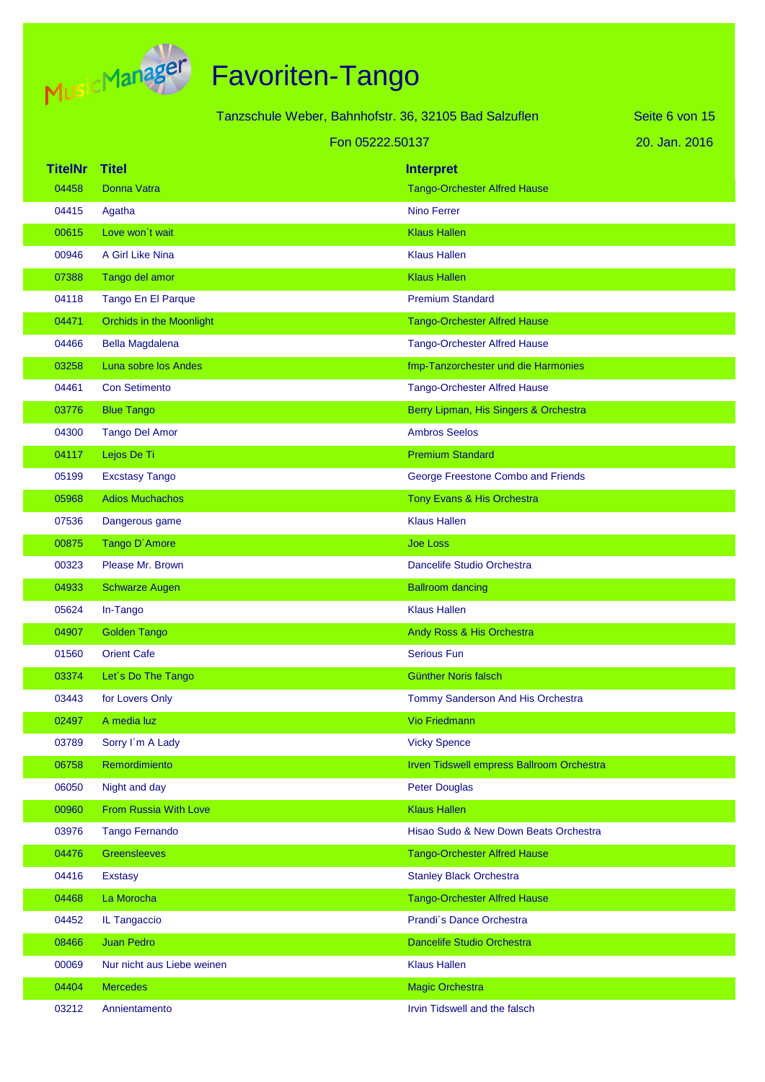

|                |                                 | Tanzschule Weber, Bahnhofstr. 36, 32105 Bad Salzuflen |                                           | Seite 6 von 15 |
|----------------|---------------------------------|-------------------------------------------------------|-------------------------------------------|----------------|
|                |                                 | Fon 05222.50137                                       |                                           | 20. Jan. 2016  |
| <b>TitelNr</b> | <b>Titel</b>                    |                                                       | <b>Interpret</b>                          |                |
| 04458          | <b>Donna Vatra</b>              |                                                       | <b>Tango-Orchester Alfred Hause</b>       |                |
| 04415          | Agatha                          |                                                       | Nino Ferrer                               |                |
| 00615          | Love won't wait                 |                                                       | <b>Klaus Hallen</b>                       |                |
| 00946          | A Girl Like Nina                |                                                       | <b>Klaus Hallen</b>                       |                |
| 07388          | Tango del amor                  |                                                       | <b>Klaus Hallen</b>                       |                |
| 04118          | Tango En El Parque              |                                                       | <b>Premium Standard</b>                   |                |
| 04471          | <b>Orchids in the Moonlight</b> |                                                       | <b>Tango-Orchester Alfred Hause</b>       |                |
| 04466          | <b>Bella Magdalena</b>          |                                                       | <b>Tango-Orchester Alfred Hause</b>       |                |
| 03258          | Luna sobre los Andes            |                                                       | fmp-Tanzorchester und die Harmonies       |                |
| 04461          | <b>Con Setimento</b>            |                                                       | <b>Tango-Orchester Alfred Hause</b>       |                |
| 03776          | <b>Blue Tango</b>               |                                                       | Berry Lipman, His Singers & Orchestra     |                |
| 04300          | <b>Tango Del Amor</b>           |                                                       | <b>Ambros Seelos</b>                      |                |
| 04117          | Lejos De Ti                     |                                                       | <b>Premium Standard</b>                   |                |
| 05199          | <b>Excstasy Tango</b>           |                                                       | George Freestone Combo and Friends        |                |
| 05968          | <b>Adios Muchachos</b>          |                                                       | Tony Evans & His Orchestra                |                |
| 07536          | Dangerous game                  |                                                       | <b>Klaus Hallen</b>                       |                |
| 00875          | Tango D'Amore                   |                                                       | <b>Joe Loss</b>                           |                |
| 00323          | Please Mr. Brown                |                                                       | Dancelife Studio Orchestra                |                |
| 04933          | <b>Schwarze Augen</b>           |                                                       | <b>Ballroom dancing</b>                   |                |
| 05624          | In-Tango                        |                                                       | <b>Klaus Hallen</b>                       |                |
| 04907          | <b>Golden Tango</b>             |                                                       | Andy Ross & His Orchestra                 |                |
| 01560          | <b>Orient Cafe</b>              |                                                       | <b>Serious Fun</b>                        |                |
| 03374          | Let's Do The Tango              |                                                       | <b>Günther Noris falsch</b>               |                |
| 03443          | for Lovers Only                 |                                                       | Tommy Sanderson And His Orchestra         |                |
| 02497          | A media luz                     |                                                       | <b>Vio Friedmann</b>                      |                |
| 03789          | Sorry I'm A Lady                |                                                       | <b>Vicky Spence</b>                       |                |
| 06758          | Remordimiento                   |                                                       | Irven Tidswell empress Ballroom Orchestra |                |
| 06050          | Night and day                   |                                                       | <b>Peter Douglas</b>                      |                |
| 00960          | From Russia With Love           |                                                       | <b>Klaus Hallen</b>                       |                |
| 03976          | <b>Tango Fernando</b>           |                                                       | Hisao Sudo & New Down Beats Orchestra     |                |
| 04476          | <b>Greensleeves</b>             |                                                       | <b>Tango-Orchester Alfred Hause</b>       |                |
| 04416          | <b>Exstasy</b>                  |                                                       | <b>Stanley Black Orchestra</b>            |                |
| 04468          | La Morocha                      |                                                       | <b>Tango-Orchester Alfred Hause</b>       |                |
| 04452          | IL Tangaccio                    |                                                       | Prandi's Dance Orchestra                  |                |
| 08466          | <b>Juan Pedro</b>               |                                                       | Dancelife Studio Orchestra                |                |
| 00069          | Nur nicht aus Liebe weinen      |                                                       | <b>Klaus Hallen</b>                       |                |
| 04404          | <b>Mercedes</b>                 |                                                       | <b>Magic Orchestra</b>                    |                |
| 03212          | Annientamento                   |                                                       | Irvin Tidswell and the falsch             |                |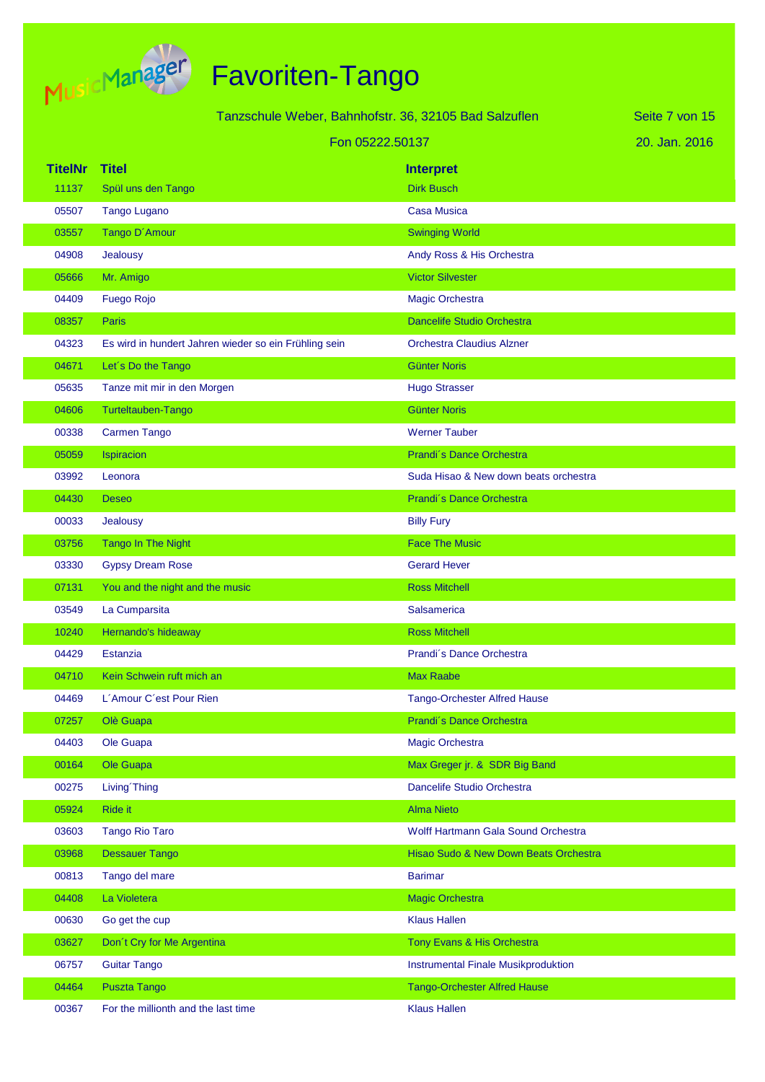

|                | Tanzschule Weber, Bahnhofstr. 36, 32105 Bad Salzuflen |                                            | Seite 7 von 15 |
|----------------|-------------------------------------------------------|--------------------------------------------|----------------|
|                | Fon 05222.50137                                       |                                            | 20. Jan. 2016  |
| <b>TitelNr</b> | <b>Titel</b>                                          | <b>Interpret</b>                           |                |
| 11137          | Spül uns den Tango                                    | <b>Dirk Busch</b>                          |                |
| 05507          | <b>Tango Lugano</b>                                   | Casa Musica                                |                |
| 03557          | Tango D'Amour                                         | <b>Swinging World</b>                      |                |
| 04908          | Jealousy                                              | Andy Ross & His Orchestra                  |                |
| 05666          | Mr. Amigo                                             | <b>Victor Silvester</b>                    |                |
| 04409          | <b>Fuego Rojo</b>                                     | <b>Magic Orchestra</b>                     |                |
| 08357          | Paris                                                 | <b>Dancelife Studio Orchestra</b>          |                |
| 04323          | Es wird in hundert Jahren wieder so ein Frühling sein | <b>Orchestra Claudius Alzner</b>           |                |
| 04671          | Let's Do the Tango                                    | <b>Günter Noris</b>                        |                |
| 05635          | Tanze mit mir in den Morgen                           | <b>Hugo Strasser</b>                       |                |
| 04606          | Turteltauben-Tango                                    | <b>Günter Noris</b>                        |                |
| 00338          | <b>Carmen Tango</b>                                   | <b>Werner Tauber</b>                       |                |
| 05059          | Ispiracion                                            | Prandi's Dance Orchestra                   |                |
| 03992          | Leonora                                               | Suda Hisao & New down beats orchestra      |                |
| 04430          | <b>Deseo</b>                                          | Prandi's Dance Orchestra                   |                |
| 00033          | Jealousy                                              | <b>Billy Fury</b>                          |                |
| 03756          | Tango In The Night                                    | <b>Face The Music</b>                      |                |
| 03330          | <b>Gypsy Dream Rose</b>                               | <b>Gerard Hever</b>                        |                |
| 07131          | You and the night and the music                       | <b>Ross Mitchell</b>                       |                |
| 03549          | La Cumparsita                                         | <b>Salsamerica</b>                         |                |
| 10240          | Hernando's hideaway                                   | <b>Ross Mitchell</b>                       |                |
| 04429          | <b>Estanzia</b>                                       | Prandi's Dance Orchestra                   |                |
| 04710          | Kein Schwein ruft mich an                             | <b>Max Raabe</b>                           |                |
| 04469          | L'Amour C'est Pour Rien                               | <b>Tango-Orchester Alfred Hause</b>        |                |
| 07257          | Olè Guapa                                             | Prandi's Dance Orchestra                   |                |
| 04403          | Ole Guapa                                             | <b>Magic Orchestra</b>                     |                |
| 00164          | Ole Guapa                                             | Max Greger jr. & SDR Big Band              |                |
| 00275          | Living Thing                                          | Dancelife Studio Orchestra                 |                |
| 05924          | Ride it                                               | <b>Alma Nieto</b>                          |                |
| 03603          | <b>Tango Rio Taro</b>                                 | Wolff Hartmann Gala Sound Orchestra        |                |
| 03968          | <b>Dessauer Tango</b>                                 | Hisao Sudo & New Down Beats Orchestra      |                |
| 00813          | Tango del mare                                        | <b>Barimar</b>                             |                |
| 04408          | La Violetera                                          | <b>Magic Orchestra</b>                     |                |
| 00630          | Go get the cup                                        | <b>Klaus Hallen</b>                        |                |
| 03627          | Don't Cry for Me Argentina                            | Tony Evans & His Orchestra                 |                |
| 06757          | <b>Guitar Tango</b>                                   | <b>Instrumental Finale Musikproduktion</b> |                |
| 04464          | <b>Puszta Tango</b>                                   | <b>Tango-Orchester Alfred Hause</b>        |                |
| 00367          | For the millionth and the last time                   | <b>Klaus Hallen</b>                        |                |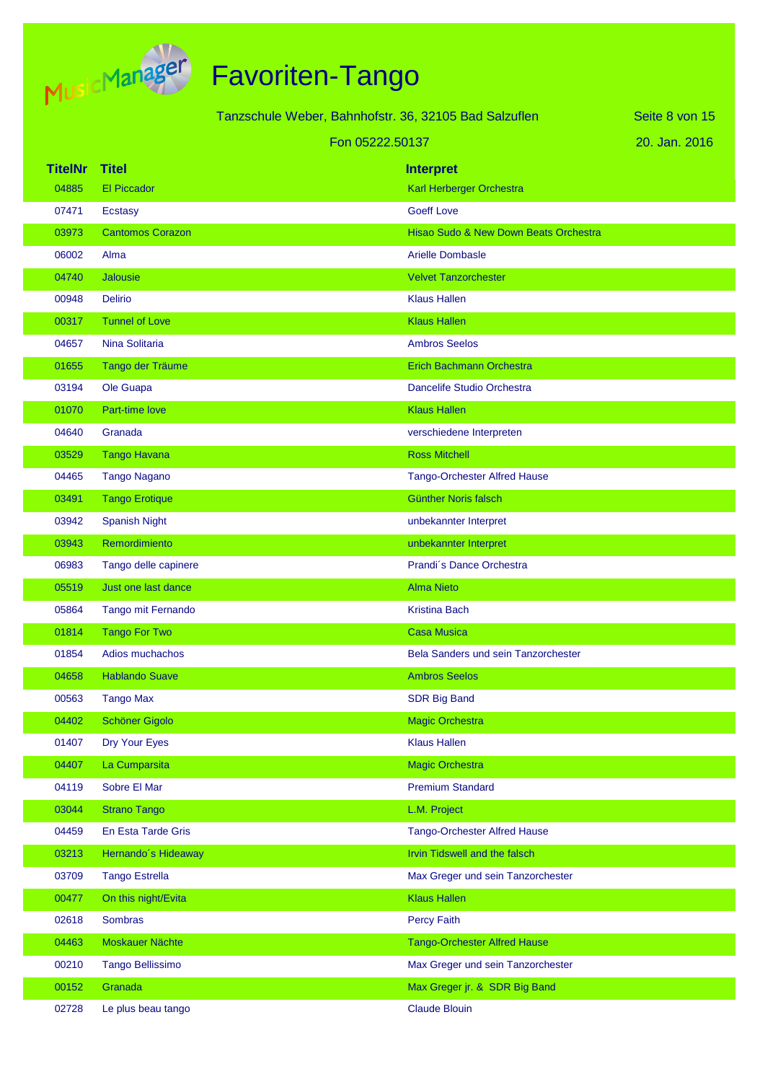

|                |                         | Tanzschule Weber, Bahnhofstr. 36, 32105 Bad Salzuflen |                                            | Seite 8 von 15 |
|----------------|-------------------------|-------------------------------------------------------|--------------------------------------------|----------------|
|                |                         | Fon 05222.50137                                       |                                            | 20. Jan. 2016  |
| <b>TitelNr</b> | <b>Titel</b>            |                                                       | <b>Interpret</b>                           |                |
| 04885          | <b>El Piccador</b>      |                                                       | Karl Herberger Orchestra                   |                |
| 07471          | Ecstasy                 |                                                       | <b>Goeff Love</b>                          |                |
| 03973          | <b>Cantomos Corazon</b> |                                                       | Hisao Sudo & New Down Beats Orchestra      |                |
| 06002          | Alma                    |                                                       | <b>Arielle Dombasle</b>                    |                |
| 04740          | Jalousie                |                                                       | <b>Velvet Tanzorchester</b>                |                |
| 00948          | <b>Delirio</b>          |                                                       | <b>Klaus Hallen</b>                        |                |
| 00317          | <b>Tunnel of Love</b>   |                                                       | <b>Klaus Hallen</b>                        |                |
| 04657          | Nina Solitaria          |                                                       | <b>Ambros Seelos</b>                       |                |
| 01655          | Tango der Träume        |                                                       | <b>Erich Bachmann Orchestra</b>            |                |
| 03194          | Ole Guapa               |                                                       | Dancelife Studio Orchestra                 |                |
| 01070          | Part-time love          |                                                       | <b>Klaus Hallen</b>                        |                |
| 04640          | Granada                 |                                                       | verschiedene Interpreten                   |                |
| 03529          | <b>Tango Havana</b>     |                                                       | <b>Ross Mitchell</b>                       |                |
| 04465          | <b>Tango Nagano</b>     |                                                       | <b>Tango-Orchester Alfred Hause</b>        |                |
| 03491          | <b>Tango Erotique</b>   |                                                       | Günther Noris falsch                       |                |
| 03942          | <b>Spanish Night</b>    |                                                       | unbekannter Interpret                      |                |
| 03943          | Remordimiento           |                                                       | unbekannter Interpret                      |                |
| 06983          | Tango delle capinere    |                                                       | Prandi's Dance Orchestra                   |                |
| 05519          | Just one last dance     |                                                       | <b>Alma Nieto</b>                          |                |
| 05864          | Tango mit Fernando      |                                                       | <b>Kristina Bach</b>                       |                |
| 01814          | <b>Tango For Two</b>    |                                                       | <b>Casa Musica</b>                         |                |
| 01854          | Adios muchachos         |                                                       | <b>Bela Sanders und sein Tanzorchester</b> |                |
| 04658          | <b>Hablando Suave</b>   |                                                       | <b>Ambros Seelos</b>                       |                |
| 00563          | <b>Tango Max</b>        |                                                       | <b>SDR Big Band</b>                        |                |
| 04402          | <b>Schöner Gigolo</b>   |                                                       | <b>Magic Orchestra</b>                     |                |
| 01407          | Dry Your Eyes           |                                                       | <b>Klaus Hallen</b>                        |                |
| 04407          | La Cumparsita           |                                                       | <b>Magic Orchestra</b>                     |                |
| 04119          | Sobre El Mar            |                                                       | <b>Premium Standard</b>                    |                |
| 03044          | <b>Strano Tango</b>     |                                                       | L.M. Project                               |                |
| 04459          | En Esta Tarde Gris      |                                                       | <b>Tango-Orchester Alfred Hause</b>        |                |
| 03213          | Hernando's Hideaway     |                                                       | Irvin Tidswell and the falsch              |                |
| 03709          | <b>Tango Estrella</b>   |                                                       | Max Greger und sein Tanzorchester          |                |
| 00477          | On this night/Evita     |                                                       | <b>Klaus Hallen</b>                        |                |
| 02618          | Sombras                 |                                                       | <b>Percy Faith</b>                         |                |
| 04463          | Moskauer Nächte         |                                                       | <b>Tango-Orchester Alfred Hause</b>        |                |
| 00210          | <b>Tango Bellissimo</b> |                                                       | Max Greger und sein Tanzorchester          |                |
| 00152          | Granada                 |                                                       | Max Greger jr. & SDR Big Band              |                |
| 02728          | Le plus beau tango      |                                                       | <b>Claude Blouin</b>                       |                |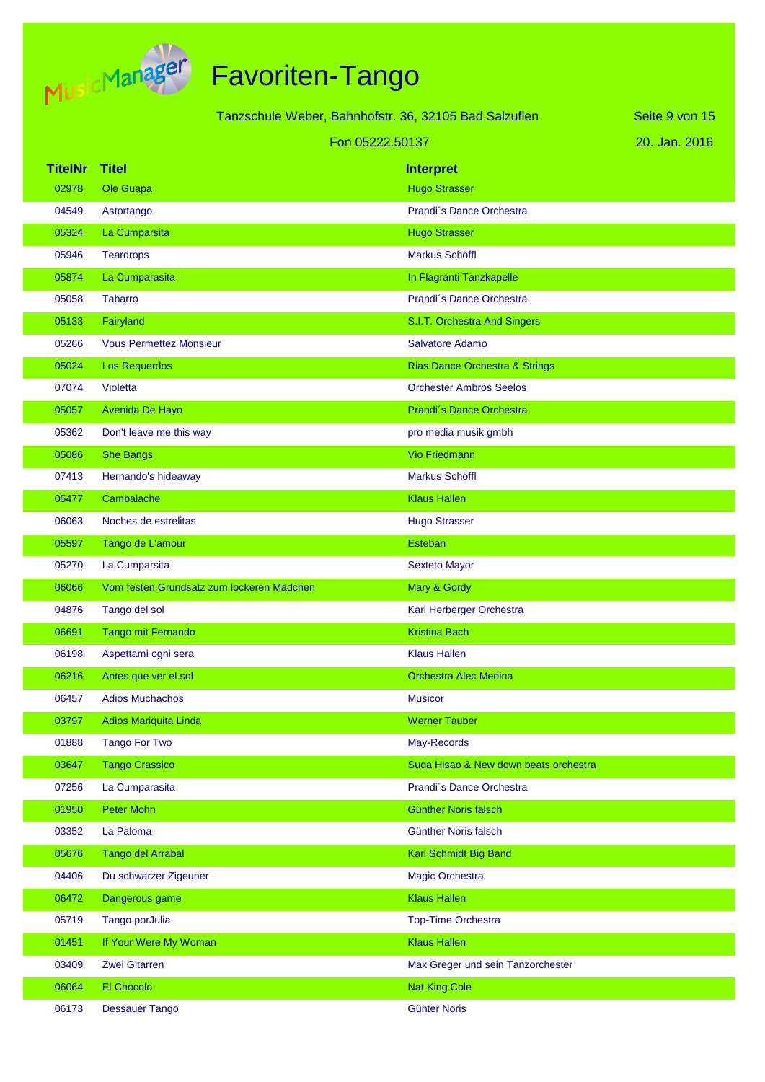

|                |                                           | Tanzschule Weber, Bahnhofstr. 36, 32105 Bad Salzuflen | Seite 9 von 15 |
|----------------|-------------------------------------------|-------------------------------------------------------|----------------|
|                |                                           | Fon 05222.50137                                       | 20. Jan. 2016  |
| <b>TitelNr</b> | <b>Titel</b>                              | <b>Interpret</b>                                      |                |
| 02978          | Ole Guapa                                 | <b>Hugo Strasser</b>                                  |                |
| 04549          | Astortango                                | Prandi's Dance Orchestra                              |                |
| 05324          | La Cumparsita                             | <b>Hugo Strasser</b>                                  |                |
| 05946          | <b>Teardrops</b>                          | Markus Schöffl                                        |                |
| 05874          | La Cumparasita                            | In Flagranti Tanzkapelle                              |                |
| 05058          | <b>Tabarro</b>                            | Prandi's Dance Orchestra                              |                |
| 05133          | Fairyland                                 | S.I.T. Orchestra And Singers                          |                |
| 05266          | <b>Vous Permettez Monsieur</b>            | Salvatore Adamo                                       |                |
| 05024          | <b>Los Requerdos</b>                      | Rias Dance Orchestra & Strings                        |                |
| 07074          | Violetta                                  | <b>Orchester Ambros Seelos</b>                        |                |
| 05057          | Avenida De Hayo                           | Prandi's Dance Orchestra                              |                |
| 05362          | Don't leave me this way                   | pro media musik gmbh                                  |                |
| 05086          | <b>She Bangs</b>                          | <b>Vio Friedmann</b>                                  |                |
| 07413          | Hernando's hideaway                       | <b>Markus Schöffl</b>                                 |                |
| 05477          | Cambalache                                | <b>Klaus Hallen</b>                                   |                |
| 06063          | Noches de estrelitas                      | <b>Hugo Strasser</b>                                  |                |
| 05597          | Tango de L'amour                          | Esteban                                               |                |
| 05270          | La Cumparsita                             | <b>Sexteto Mayor</b>                                  |                |
| 06066          | Vom festen Grundsatz zum lockeren Mädchen | Mary & Gordy                                          |                |
| 04876          | Tango del sol                             | Karl Herberger Orchestra                              |                |
| 06691          | Tango mit Fernando                        | <b>Kristina Bach</b>                                  |                |
| 06198          | Aspettami ogni sera                       | <b>Klaus Hallen</b>                                   |                |
| 06216          | Antes que ver el sol                      | <b>Orchestra Alec Medina</b>                          |                |
| 06457          | <b>Adios Muchachos</b>                    | <b>Musicor</b>                                        |                |
| 03797          | <b>Adios Mariquita Linda</b>              | <b>Werner Tauber</b>                                  |                |
| 01888          | <b>Tango For Two</b>                      | May-Records                                           |                |
| 03647          | <b>Tango Crassico</b>                     | Suda Hisao & New down beats orchestra                 |                |
| 07256          | La Cumparasita                            | Prandi's Dance Orchestra                              |                |
| 01950          | Peter Mohn                                | Günther Noris falsch                                  |                |
| 03352          | La Paloma                                 | Günther Noris falsch                                  |                |
| 05676          | <b>Tango del Arrabal</b>                  | Karl Schmidt Big Band                                 |                |
| 04406          | Du schwarzer Zigeuner                     | <b>Magic Orchestra</b>                                |                |
| 06472          | Dangerous game                            | <b>Klaus Hallen</b>                                   |                |
| 05719          | Tango porJulia                            | <b>Top-Time Orchestra</b>                             |                |
| 01451          | If Your Were My Woman                     | <b>Klaus Hallen</b>                                   |                |
| 03409          | Zwei Gitarren                             | Max Greger und sein Tanzorchester                     |                |
| 06064          | El Chocolo                                | <b>Nat King Cole</b>                                  |                |
| 06173          | <b>Dessauer Tango</b>                     | <b>Günter Noris</b>                                   |                |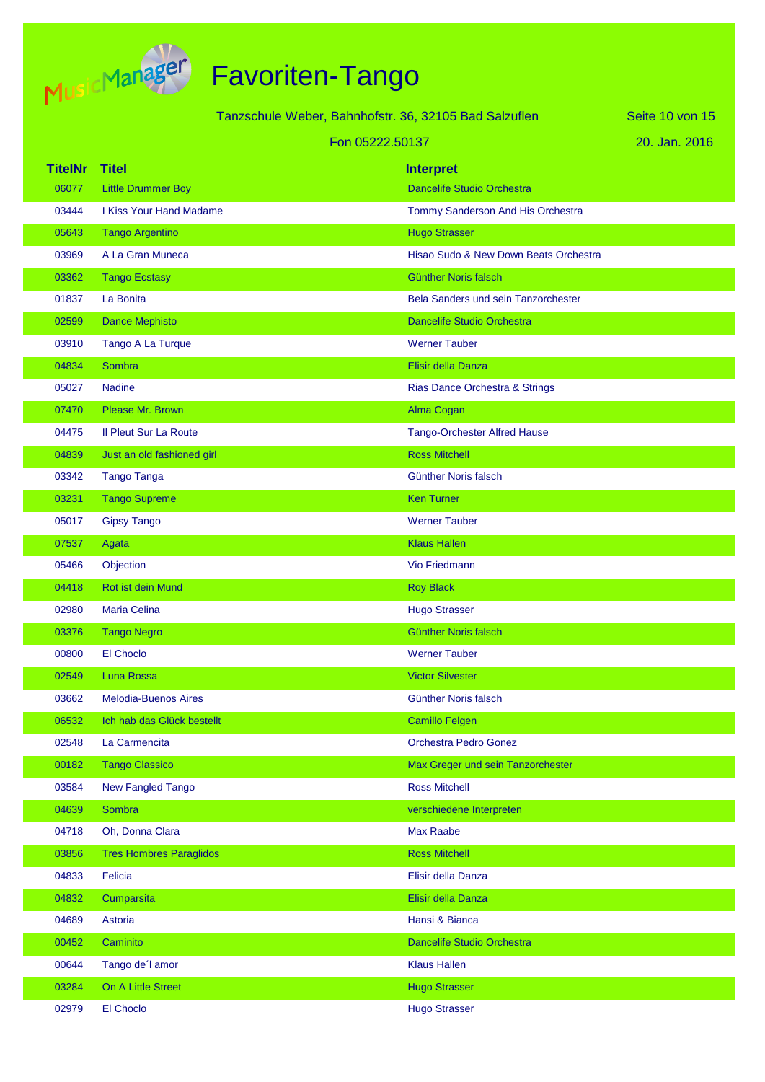

|                |                                | Tanzschule Weber, Bahnhofstr. 36, 32105 Bad Salzuflen | Seite 10 von 15 |
|----------------|--------------------------------|-------------------------------------------------------|-----------------|
|                |                                | Fon 05222.50137                                       | 20. Jan. 2016   |
| <b>TitelNr</b> | <b>Titel</b>                   |                                                       |                 |
| 06077          | <b>Little Drummer Boy</b>      | <b>Interpret</b><br><b>Dancelife Studio Orchestra</b> |                 |
| 03444          | I Kiss Your Hand Madame        | Tommy Sanderson And His Orchestra                     |                 |
| 05643          | <b>Tango Argentino</b>         | <b>Hugo Strasser</b>                                  |                 |
| 03969          | A La Gran Muneca               | Hisao Sudo & New Down Beats Orchestra                 |                 |
| 03362          | <b>Tango Ecstasy</b>           | <b>Günther Noris falsch</b>                           |                 |
| 01837          | La Bonita                      | Bela Sanders und sein Tanzorchester                   |                 |
| 02599          | <b>Dance Mephisto</b>          | <b>Dancelife Studio Orchestra</b>                     |                 |
| 03910          | Tango A La Turque              | <b>Werner Tauber</b>                                  |                 |
| 04834          | Sombra                         | Elisir della Danza                                    |                 |
| 05027          | <b>Nadine</b>                  | Rias Dance Orchestra & Strings                        |                 |
| 07470          | Please Mr. Brown               | Alma Cogan                                            |                 |
| 04475          | <b>Il Pleut Sur La Route</b>   | <b>Tango-Orchester Alfred Hause</b>                   |                 |
| 04839          | Just an old fashioned girl     | <b>Ross Mitchell</b>                                  |                 |
| 03342          | <b>Tango Tanga</b>             | Günther Noris falsch                                  |                 |
| 03231          | <b>Tango Supreme</b>           | <b>Ken Turner</b>                                     |                 |
| 05017          | <b>Gipsy Tango</b>             | <b>Werner Tauber</b>                                  |                 |
| 07537          | Agata                          | <b>Klaus Hallen</b>                                   |                 |
| 05466          | Objection                      | <b>Vio Friedmann</b>                                  |                 |
| 04418          | <b>Rot ist dein Mund</b>       | <b>Roy Black</b>                                      |                 |
| 02980          | <b>Maria Celina</b>            | <b>Hugo Strasser</b>                                  |                 |
| 03376          | <b>Tango Negro</b>             | Günther Noris falsch                                  |                 |
| 00800          | El Choclo                      | <b>Werner Tauber</b>                                  |                 |
| 02549          | Luna Rossa                     | <b>Victor Silvester</b>                               |                 |
| 03662          | <b>Melodia-Buenos Aires</b>    | Günther Noris falsch                                  |                 |
| 06532          | Ich hab das Glück bestellt     | <b>Camillo Felgen</b>                                 |                 |
| 02548          | La Carmencita                  | <b>Orchestra Pedro Gonez</b>                          |                 |
| 00182          | <b>Tango Classico</b>          | Max Greger und sein Tanzorchester                     |                 |
| 03584          | <b>New Fangled Tango</b>       | <b>Ross Mitchell</b>                                  |                 |
| 04639          | Sombra                         | verschiedene Interpreten                              |                 |
| 04718          | Oh, Donna Clara                | <b>Max Raabe</b>                                      |                 |
| 03856          | <b>Tres Hombres Paraglidos</b> | <b>Ross Mitchell</b>                                  |                 |
| 04833          | Felicia                        | Elisir della Danza                                    |                 |
| 04832          | Cumparsita                     | Elisir della Danza                                    |                 |
| 04689          | Astoria                        | Hansi & Bianca                                        |                 |
| 00452          | Caminito                       | Dancelife Studio Orchestra                            |                 |
| 00644          | Tango de'l amor                | <b>Klaus Hallen</b>                                   |                 |
| 03284          | On A Little Street             | <b>Hugo Strasser</b>                                  |                 |
| 02979          | El Choclo                      | <b>Hugo Strasser</b>                                  |                 |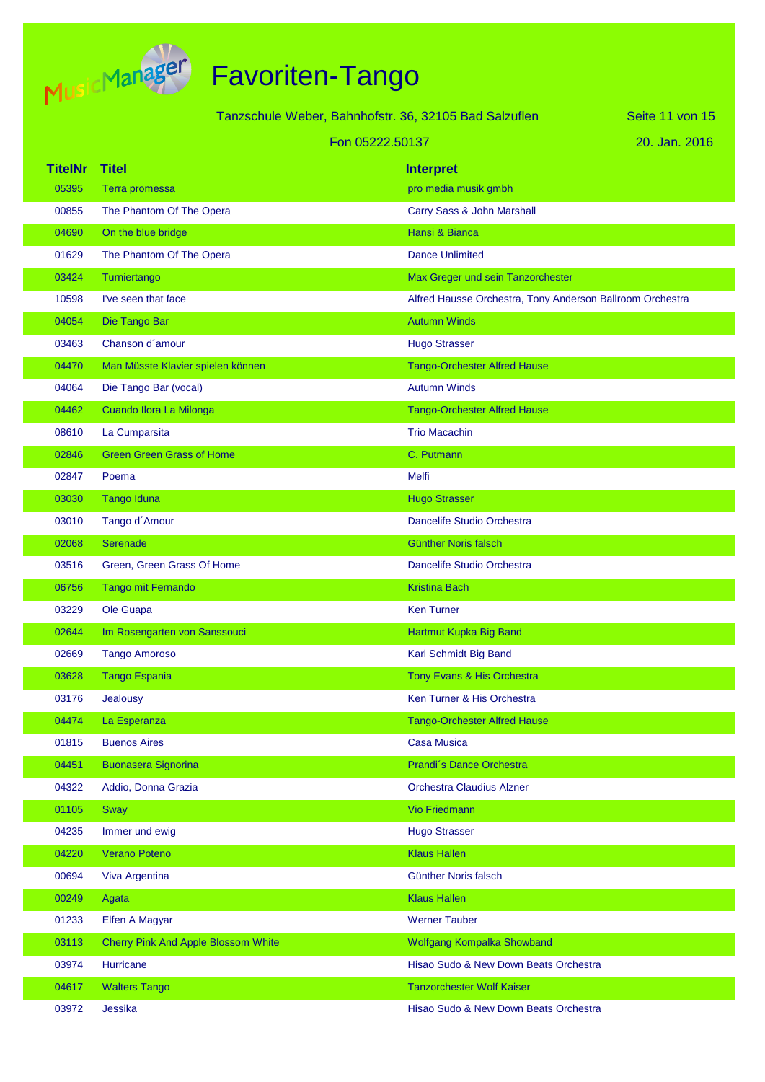

|                      |                                            | Tanzschule Weber, Bahnhofstr. 36, 32105 Bad Salzuflen     | Seite 11 von 15 |
|----------------------|--------------------------------------------|-----------------------------------------------------------|-----------------|
|                      |                                            | Fon 05222.50137                                           | 20. Jan. 2016   |
| <b>TitelNr Titel</b> |                                            | <b>Interpret</b>                                          |                 |
| 05395                | Terra promessa                             | pro media musik gmbh                                      |                 |
| 00855                | The Phantom Of The Opera                   | Carry Sass & John Marshall                                |                 |
| 04690                | On the blue bridge                         | Hansi & Bianca                                            |                 |
| 01629                | The Phantom Of The Opera                   | <b>Dance Unlimited</b>                                    |                 |
| 03424                | Turniertango                               | Max Greger und sein Tanzorchester                         |                 |
| 10598                | I've seen that face                        | Alfred Hausse Orchestra, Tony Anderson Ballroom Orchestra |                 |
| 04054                | Die Tango Bar                              | <b>Autumn Winds</b>                                       |                 |
| 03463                | Chanson d'amour                            | <b>Hugo Strasser</b>                                      |                 |
| 04470                | Man Müsste Klavier spielen können          | <b>Tango-Orchester Alfred Hause</b>                       |                 |
| 04064                | Die Tango Bar (vocal)                      | <b>Autumn Winds</b>                                       |                 |
| 04462                | Cuando Ilora La Milonga                    | <b>Tango-Orchester Alfred Hause</b>                       |                 |
| 08610                | La Cumparsita                              | <b>Trio Macachin</b>                                      |                 |
| 02846                | <b>Green Green Grass of Home</b>           | C. Putmann                                                |                 |
| 02847                | Poema                                      | Melfi                                                     |                 |
| 03030                | <b>Tango Iduna</b>                         | <b>Hugo Strasser</b>                                      |                 |
| 03010                | Tango d'Amour                              | Dancelife Studio Orchestra                                |                 |
| 02068                | Serenade                                   | <b>Günther Noris falsch</b>                               |                 |
| 03516                | Green, Green Grass Of Home                 | Dancelife Studio Orchestra                                |                 |
| 06756                | Tango mit Fernando                         | <b>Kristina Bach</b>                                      |                 |
| 03229                | Ole Guapa                                  | <b>Ken Turner</b>                                         |                 |
| 02644                | Im Rosengarten von Sanssouci               | Hartmut Kupka Big Band                                    |                 |
| 02669                | <b>Tango Amoroso</b>                       | Karl Schmidt Big Band                                     |                 |
| 03628                | <b>Tango Espania</b>                       | Tony Evans & His Orchestra                                |                 |
| 03176                | Jealousy                                   | Ken Turner & His Orchestra                                |                 |
| 04474                | La Esperanza                               | <b>Tango-Orchester Alfred Hause</b>                       |                 |
| 01815                | <b>Buenos Aires</b>                        | <b>Casa Musica</b>                                        |                 |
| 04451                | <b>Buonasera Signorina</b>                 | Prandi's Dance Orchestra                                  |                 |
| 04322                | Addio, Donna Grazia                        | <b>Orchestra Claudius Alzner</b>                          |                 |
| 01105                | Sway                                       | Vio Friedmann                                             |                 |
| 04235                | Immer und ewig                             | <b>Hugo Strasser</b>                                      |                 |
| 04220                | Verano Poteno                              | <b>Klaus Hallen</b>                                       |                 |
| 00694                | Viva Argentina                             | <b>Günther Noris falsch</b>                               |                 |
| 00249                | Agata                                      | <b>Klaus Hallen</b>                                       |                 |
| 01233                | Elfen A Magyar                             | <b>Werner Tauber</b>                                      |                 |
| 03113                | <b>Cherry Pink And Apple Blossom White</b> | Wolfgang Kompalka Showband                                |                 |
| 03974                | Hurricane                                  | Hisao Sudo & New Down Beats Orchestra                     |                 |
| 04617                | <b>Walters Tango</b>                       | <b>Tanzorchester Wolf Kaiser</b>                          |                 |
| 03972                | Jessika                                    | Hisao Sudo & New Down Beats Orchestra                     |                 |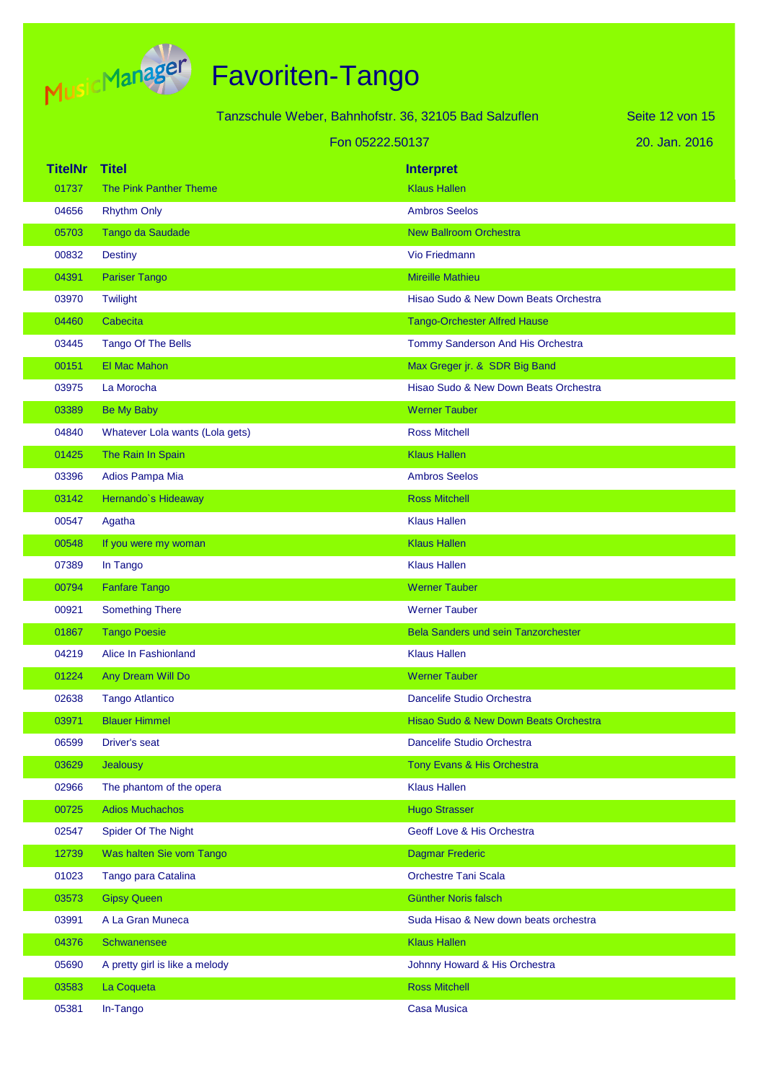

|                |                                 | Tanzschule Weber, Bahnhofstr. 36, 32105 Bad Salzuflen | Seite 12 von 15 |
|----------------|---------------------------------|-------------------------------------------------------|-----------------|
|                |                                 | Fon 05222.50137                                       | 20. Jan. 2016   |
| <b>TitelNr</b> | <b>Titel</b>                    | <b>Interpret</b>                                      |                 |
| 01737          | The Pink Panther Theme          | <b>Klaus Hallen</b>                                   |                 |
| 04656          | <b>Rhythm Only</b>              | <b>Ambros Seelos</b>                                  |                 |
| 05703          | Tango da Saudade                | <b>New Ballroom Orchestra</b>                         |                 |
| 00832          | <b>Destiny</b>                  | <b>Vio Friedmann</b>                                  |                 |
| 04391          | <b>Pariser Tango</b>            | <b>Mireille Mathieu</b>                               |                 |
| 03970          | Twilight                        | Hisao Sudo & New Down Beats Orchestra                 |                 |
| 04460          | Cabecita                        | <b>Tango-Orchester Alfred Hause</b>                   |                 |
| 03445          | <b>Tango Of The Bells</b>       | Tommy Sanderson And His Orchestra                     |                 |
| 00151          | El Mac Mahon                    | Max Greger jr. & SDR Big Band                         |                 |
| 03975          | La Morocha                      | Hisao Sudo & New Down Beats Orchestra                 |                 |
| 03389          | <b>Be My Baby</b>               | <b>Werner Tauber</b>                                  |                 |
| 04840          | Whatever Lola wants (Lola gets) | <b>Ross Mitchell</b>                                  |                 |
| 01425          | The Rain In Spain               | <b>Klaus Hallen</b>                                   |                 |
| 03396          | Adios Pampa Mia                 | <b>Ambros Seelos</b>                                  |                 |
| 03142          | Hernando's Hideaway             | <b>Ross Mitchell</b>                                  |                 |
| 00547          | Agatha                          | <b>Klaus Hallen</b>                                   |                 |
| 00548          | If you were my woman            | <b>Klaus Hallen</b>                                   |                 |
| 07389          | In Tango                        | <b>Klaus Hallen</b>                                   |                 |
| 00794          | <b>Fanfare Tango</b>            | <b>Werner Tauber</b>                                  |                 |
| 00921          | <b>Something There</b>          | <b>Werner Tauber</b>                                  |                 |
| 01867          | <b>Tango Poesie</b>             | <b>Bela Sanders und sein Tanzorchester</b>            |                 |
| 04219          | Alice In Fashionland            | <b>Klaus Hallen</b>                                   |                 |
| 01224          | Any Dream Will Do               | <b>Werner Tauber</b>                                  |                 |
| 02638          | <b>Tango Atlantico</b>          | Dancelife Studio Orchestra                            |                 |
| 03971          | <b>Blauer Himmel</b>            | Hisao Sudo & New Down Beats Orchestra                 |                 |
| 06599          | <b>Driver's seat</b>            | Dancelife Studio Orchestra                            |                 |
| 03629          | Jealousy                        | Tony Evans & His Orchestra                            |                 |
| 02966          | The phantom of the opera        | <b>Klaus Hallen</b>                                   |                 |
| 00725          | <b>Adios Muchachos</b>          | <b>Hugo Strasser</b>                                  |                 |
| 02547          | <b>Spider Of The Night</b>      | Geoff Love & His Orchestra                            |                 |
| 12739          | Was halten Sie vom Tango        | <b>Dagmar Frederic</b>                                |                 |
| 01023          | Tango para Catalina             | <b>Orchestre Tani Scala</b>                           |                 |
| 03573          | <b>Gipsy Queen</b>              | Günther Noris falsch                                  |                 |
| 03991          | A La Gran Muneca                | Suda Hisao & New down beats orchestra                 |                 |
| 04376          | Schwanensee                     | <b>Klaus Hallen</b>                                   |                 |
| 05690          | A pretty girl is like a melody  | Johnny Howard & His Orchestra                         |                 |
| 03583          | La Coqueta                      | <b>Ross Mitchell</b>                                  |                 |
| 05381          | In-Tango                        | <b>Casa Musica</b>                                    |                 |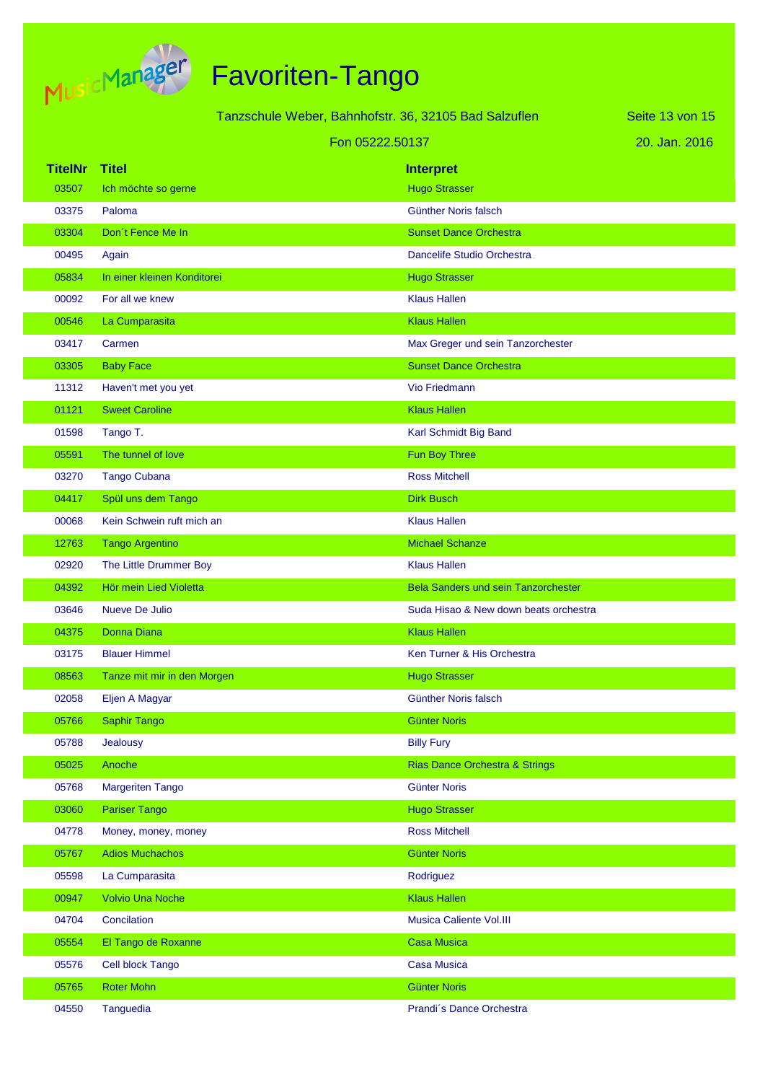

|                      |                             | Tanzschule Weber, Bahnhofstr. 36, 32105 Bad Salzuflen |                                            | Seite 13 von 15 |
|----------------------|-----------------------------|-------------------------------------------------------|--------------------------------------------|-----------------|
|                      |                             | Fon 05222.50137                                       |                                            | 20. Jan. 2016   |
| <b>TitelNr Titel</b> |                             |                                                       | <b>Interpret</b>                           |                 |
| 03507                | Ich möchte so gerne         |                                                       | <b>Hugo Strasser</b>                       |                 |
| 03375                | Paloma                      |                                                       | Günther Noris falsch                       |                 |
| 03304                | Don't Fence Me In           |                                                       | <b>Sunset Dance Orchestra</b>              |                 |
| 00495                | Again                       |                                                       | Dancelife Studio Orchestra                 |                 |
| 05834                | In einer kleinen Konditorei |                                                       | <b>Hugo Strasser</b>                       |                 |
| 00092                | For all we knew             |                                                       | <b>Klaus Hallen</b>                        |                 |
| 00546                | La Cumparasita              |                                                       | <b>Klaus Hallen</b>                        |                 |
| 03417                | Carmen                      |                                                       | Max Greger und sein Tanzorchester          |                 |
| 03305                | <b>Baby Face</b>            |                                                       | <b>Sunset Dance Orchestra</b>              |                 |
| 11312                | Haven't met you yet         |                                                       | <b>Vio Friedmann</b>                       |                 |
| 01121                | <b>Sweet Caroline</b>       |                                                       | <b>Klaus Hallen</b>                        |                 |
| 01598                | Tango T.                    |                                                       | Karl Schmidt Big Band                      |                 |
| 05591                | The tunnel of love          |                                                       | Fun Boy Three                              |                 |
| 03270                | <b>Tango Cubana</b>         |                                                       | <b>Ross Mitchell</b>                       |                 |
| 04417                | Spül uns dem Tango          |                                                       | <b>Dirk Busch</b>                          |                 |
| 00068                | Kein Schwein ruft mich an   |                                                       | <b>Klaus Hallen</b>                        |                 |
| 12763                | <b>Tango Argentino</b>      |                                                       | <b>Michael Schanze</b>                     |                 |
| 02920                | The Little Drummer Boy      |                                                       | <b>Klaus Hallen</b>                        |                 |
| 04392                | Hör mein Lied Violetta      |                                                       | <b>Bela Sanders und sein Tanzorchester</b> |                 |
| 03646                | <b>Nueve De Julio</b>       |                                                       | Suda Hisao & New down beats orchestra      |                 |
| 04375                | <b>Donna Diana</b>          |                                                       | <b>Klaus Hallen</b>                        |                 |
| 03175                | <b>Blauer Himmel</b>        |                                                       | Ken Turner & His Orchestra                 |                 |
| 08563                | Tanze mit mir in den Morgen |                                                       | <b>Hugo Strasser</b>                       |                 |
| 02058                | Eljen A Magyar              |                                                       | Günther Noris falsch                       |                 |
| 05766                | <b>Saphir Tango</b>         |                                                       | <b>Günter Noris</b>                        |                 |
| 05788                | Jealousy                    |                                                       | <b>Billy Fury</b>                          |                 |
| 05025                | Anoche                      |                                                       | <b>Rias Dance Orchestra &amp; Strings</b>  |                 |
| 05768                | <b>Margeriten Tango</b>     |                                                       | <b>Günter Noris</b>                        |                 |
| 03060                | <b>Pariser Tango</b>        |                                                       | <b>Hugo Strasser</b>                       |                 |
| 04778                | Money, money, money         |                                                       | <b>Ross Mitchell</b>                       |                 |
| 05767                | <b>Adios Muchachos</b>      |                                                       | <b>Günter Noris</b>                        |                 |
| 05598                | La Cumparasita              |                                                       | Rodriguez                                  |                 |
| 00947                | <b>Volvio Una Noche</b>     |                                                       | <b>Klaus Hallen</b>                        |                 |
| 04704                | Concilation                 |                                                       | Musica Caliente Vol.III                    |                 |
| 05554                | El Tango de Roxanne         |                                                       | <b>Casa Musica</b>                         |                 |
| 05576                | Cell block Tango            |                                                       | <b>Casa Musica</b>                         |                 |
| 05765                | <b>Roter Mohn</b>           |                                                       | <b>Günter Noris</b>                        |                 |
| 04550                | Tanguedia                   |                                                       | Prandi's Dance Orchestra                   |                 |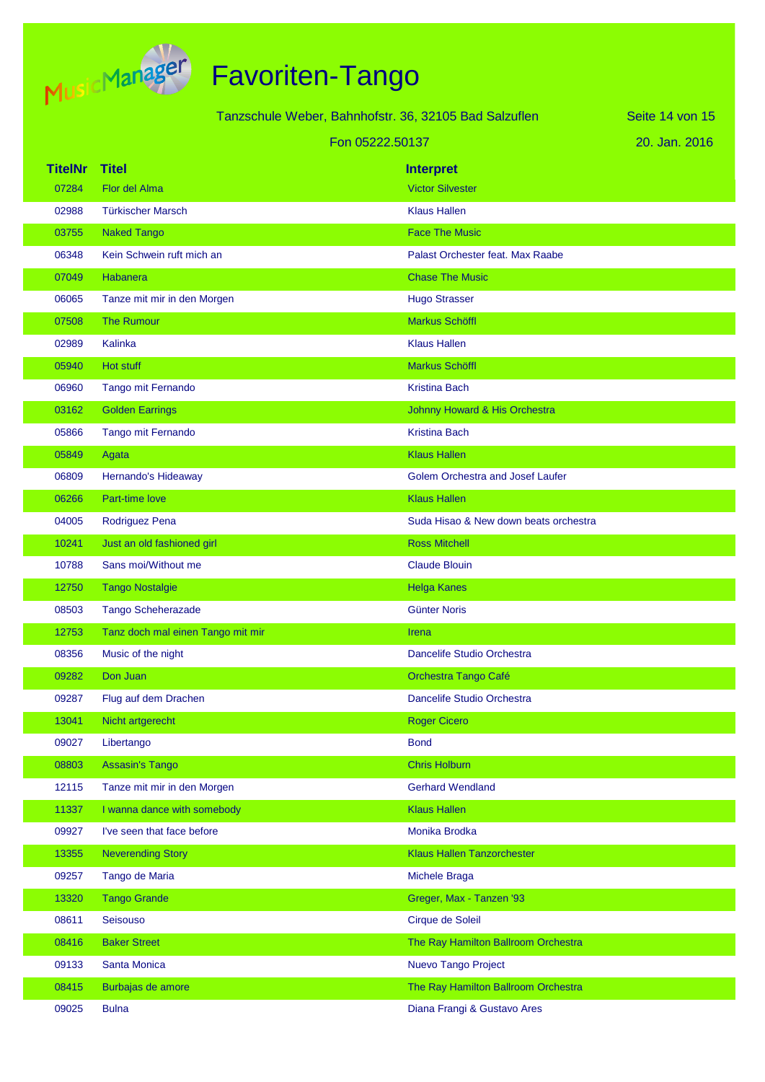

|                |                                   | Tanzschule Weber, Bahnhofstr. 36, 32105 Bad Salzuflen | Seite 14 von 15 |
|----------------|-----------------------------------|-------------------------------------------------------|-----------------|
|                | Fon 05222.50137                   |                                                       | 20. Jan. 2016   |
| <b>TitelNr</b> | <b>Titel</b>                      | <b>Interpret</b>                                      |                 |
| 07284          | Flor del Alma                     | <b>Victor Silvester</b>                               |                 |
| 02988          | <b>Türkischer Marsch</b>          | <b>Klaus Hallen</b>                                   |                 |
| 03755          | <b>Naked Tango</b>                | <b>Face The Music</b>                                 |                 |
| 06348          | Kein Schwein ruft mich an         | Palast Orchester feat. Max Raabe                      |                 |
| 07049          | Habanera                          | <b>Chase The Music</b>                                |                 |
| 06065          | Tanze mit mir in den Morgen       | <b>Hugo Strasser</b>                                  |                 |
| 07508          | <b>The Rumour</b>                 | <b>Markus Schöffl</b>                                 |                 |
| 02989          | Kalinka                           | <b>Klaus Hallen</b>                                   |                 |
| 05940          | Hot stuff                         | Markus Schöffl                                        |                 |
| 06960          | Tango mit Fernando                | <b>Kristina Bach</b>                                  |                 |
| 03162          | <b>Golden Earrings</b>            | Johnny Howard & His Orchestra                         |                 |
| 05866          | Tango mit Fernando                | <b>Kristina Bach</b>                                  |                 |
| 05849          | Agata                             | <b>Klaus Hallen</b>                                   |                 |
| 06809          | Hernando's Hideaway               | Golem Orchestra and Josef Laufer                      |                 |
| 06266          | <b>Part-time love</b>             | <b>Klaus Hallen</b>                                   |                 |
| 04005          | Rodriguez Pena                    | Suda Hisao & New down beats orchestra                 |                 |
| 10241          | Just an old fashioned girl        | <b>Ross Mitchell</b>                                  |                 |
| 10788          | Sans moi/Without me               | <b>Claude Blouin</b>                                  |                 |
| 12750          | <b>Tango Nostalgie</b>            | <b>Helga Kanes</b>                                    |                 |
| 08503          | <b>Tango Scheherazade</b>         | <b>Günter Noris</b>                                   |                 |
| 12753          | Tanz doch mal einen Tango mit mir | Irena                                                 |                 |
| 08356          | Music of the night                | Dancelife Studio Orchestra                            |                 |
| 09282          | Don Juan                          | Orchestra Tango Café                                  |                 |
| 09287          | Flug auf dem Drachen              | Dancelife Studio Orchestra                            |                 |
| 13041          | Nicht artgerecht                  | <b>Roger Cicero</b>                                   |                 |
| 09027          | Libertango                        | <b>Bond</b>                                           |                 |
| 08803          | <b>Assasin's Tango</b>            | <b>Chris Holburn</b>                                  |                 |
| 12115          | Tanze mit mir in den Morgen       | <b>Gerhard Wendland</b>                               |                 |
| 11337          | I wanna dance with somebody       | <b>Klaus Hallen</b>                                   |                 |
| 09927          | I've seen that face before        | Monika Brodka                                         |                 |
| 13355          | <b>Neverending Story</b>          | <b>Klaus Hallen Tanzorchester</b>                     |                 |
| 09257          | Tango de Maria                    | Michele Braga                                         |                 |
| 13320          | <b>Tango Grande</b>               | Greger, Max - Tanzen '93                              |                 |
| 08611          | Seisouso                          | Cirque de Soleil                                      |                 |
| 08416          | <b>Baker Street</b>               | The Ray Hamilton Ballroom Orchestra                   |                 |
| 09133          | Santa Monica                      | Nuevo Tango Project                                   |                 |
| 08415          | Burbajas de amore                 | The Ray Hamilton Ballroom Orchestra                   |                 |
| 09025          | <b>Bulna</b>                      | Diana Frangi & Gustavo Ares                           |                 |